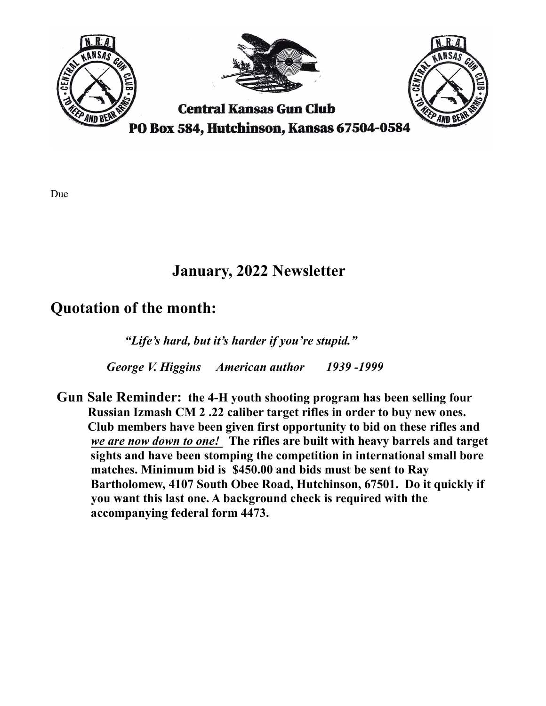

## January, 2022 Newsletter

## Quotation of the month:

"Life's hard, but it's harder if you're stupid."

George V. Higgins American author 1939 -1999

 Gun Sale Reminder: the 4-H youth shooting program has been selling four Russian Izmash CM 2 .22 caliber target rifles in order to buy new ones. Club members have been given first opportunity to bid on these rifles and we are now down to one! The rifles are built with heavy barrels and target sights and have been stomping the competition in international small bore matches. Minimum bid is \$450.00 and bids must be sent to Ray Bartholomew, 4107 South Obee Road, Hutchinson, 67501. Do it quickly if you want this last one. A background check is required with the accompanying federal form 4473.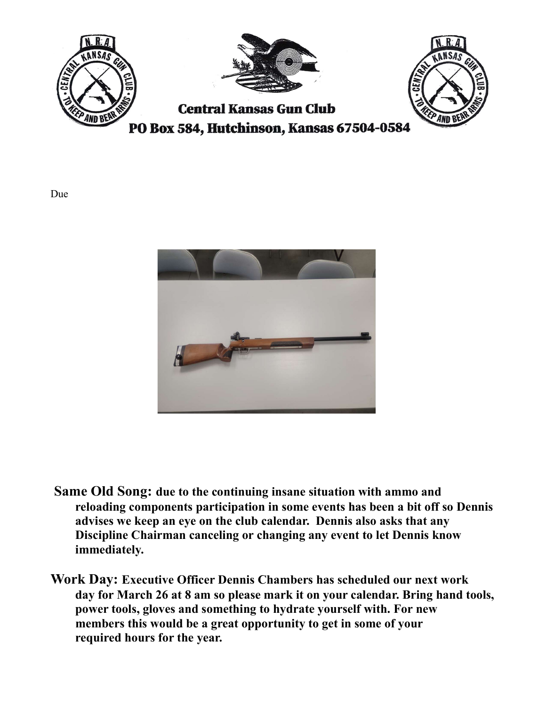



- Same Old Song: due to the continuing insane situation with ammo and reloading components participation in some events has been a bit off so Dennis advises we keep an eye on the club calendar. Dennis also asks that any Discipline Chairman canceling or changing any event to let Dennis know immediately.
- Work Day: Executive Officer Dennis Chambers has scheduled our next work day for March 26 at 8 am so please mark it on your calendar. Bring hand tools, power tools, gloves and something to hydrate yourself with. For new members this would be a great opportunity to get in some of your required hours for the year.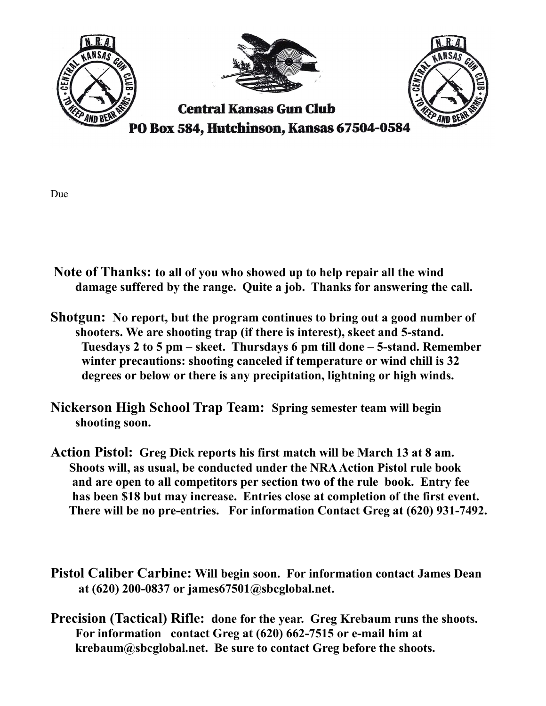

- Note of Thanks: to all of you who showed up to help repair all the wind damage suffered by the range. Quite a job. Thanks for answering the call.
- Shotgun: No report, but the program continues to bring out a good number of shooters. We are shooting trap (if there is interest), skeet and 5-stand. Tuesdays 2 to 5 pm – skeet. Thursdays 6 pm till done – 5-stand. Remember winter precautions: shooting canceled if temperature or wind chill is 32 degrees or below or there is any precipitation, lightning or high winds.
- Nickerson High School Trap Team: Spring semester team will begin shooting soon.
- Action Pistol: Greg Dick reports his first match will be March 13 at 8 am. Shoots will, as usual, be conducted under the NRA Action Pistol rule book and are open to all competitors per section two of the rule book. Entry fee has been \$18 but may increase. Entries close at completion of the first event. There will be no pre-entries. For information Contact Greg at (620) 931-7492.
- Pistol Caliber Carbine: Will begin soon. For information contact James Dean at (620) 200-0837 or james67501@sbcglobal.net.
- Precision (Tactical) Rifle: done for the year. Greg Krebaum runs the shoots. For information contact Greg at (620) 662-7515 or e-mail him at krebaum@sbcglobal.net. Be sure to contact Greg before the shoots.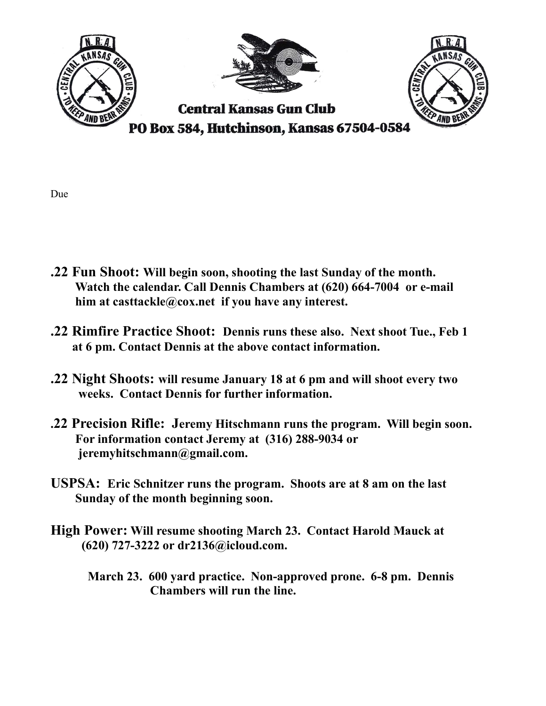

- .22 Fun Shoot: Will begin soon, shooting the last Sunday of the month. Watch the calendar. Call Dennis Chambers at (620) 664-7004 or e-mail him at casttackle@cox.net if you have any interest.
- .22 Rimfire Practice Shoot: Dennis runs these also. Next shoot Tue., Feb 1 at 6 pm. Contact Dennis at the above contact information.
- .22 Night Shoots: will resume January 18 at 6 pm and will shoot every two weeks. Contact Dennis for further information.
- .22 Precision Rifle: Jeremy Hitschmann runs the program. Will begin soon. For information contact Jeremy at (316) 288-9034 or jeremyhitschmann@gmail.com.
- USPSA: Eric Schnitzer runs the program. Shoots are at 8 am on the last Sunday of the month beginning soon.
- High Power: Will resume shooting March 23. Contact Harold Mauck at (620) 727-3222 or dr2136@icloud.com.
	- March 23. 600 yard practice. Non-approved prone. 6-8 pm. Dennis Chambers will run the line.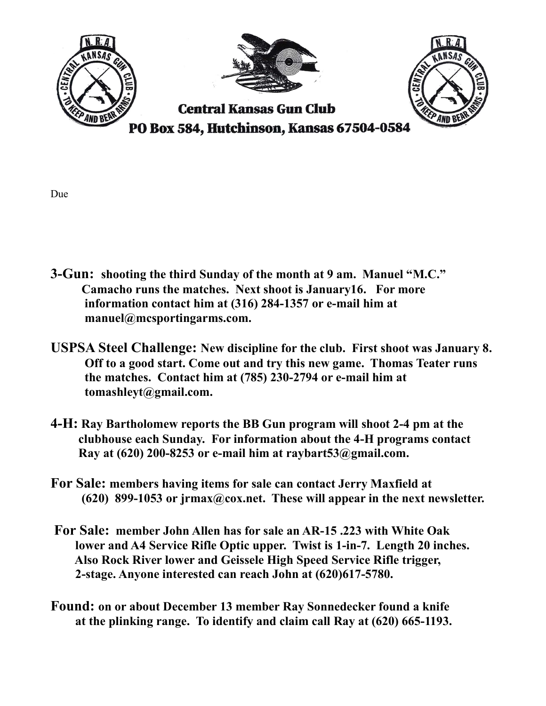

- 3-Gun: shooting the third Sunday of the month at 9 am. Manuel "M.C." Camacho runs the matches. Next shoot is January16. For more information contact him at (316) 284-1357 or e-mail him at manuel@mcsportingarms.com.
- USPSA Steel Challenge: New discipline for the club. First shoot was January 8. Off to a good start. Come out and try this new game. Thomas Teater runs the matches. Contact him at (785) 230-2794 or e-mail him at tomashleyt@gmail.com.
- 4-H: Ray Bartholomew reports the BB Gun program will shoot 2-4 pm at the clubhouse each Sunday. For information about the 4-H programs contact Ray at  $(620)$  200-8253 or e-mail him at raybart  $53@g$  mail.com.
- For Sale: members having items for sale can contact Jerry Maxfield at (620) 899-1053 or jrmax@cox.net. These will appear in the next newsletter.
- For Sale: member John Allen has for sale an AR-15 .223 with White Oak lower and A4 Service Rifle Optic upper. Twist is 1-in-7. Length 20 inches. Also Rock River lower and Geissele High Speed Service Rifle trigger, 2-stage. Anyone interested can reach John at (620)617-5780.
- Found: on or about December 13 member Ray Sonnedecker found a knife at the plinking range. To identify and claim call Ray at (620) 665-1193.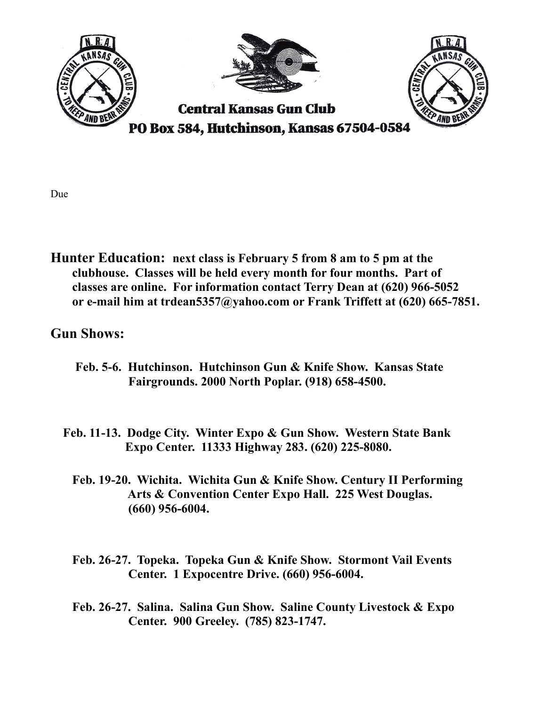

Hunter Education: next class is February 5 from 8 am to 5 pm at the clubhouse. Classes will be held every month for four months. Part of classes are online. For information contact Terry Dean at (620) 966-5052 or e-mail him at trdean5357@yahoo.com or Frank Triffett at (620) 665-7851.

## Gun Shows:

- Feb. 5-6. Hutchinson. Hutchinson Gun & Knife Show. Kansas State Fairgrounds. 2000 North Poplar. (918) 658-4500.
- Feb. 11-13. Dodge City. Winter Expo & Gun Show. Western State Bank Expo Center. 11333 Highway 283. (620) 225-8080.
	- Feb. 19-20. Wichita. Wichita Gun & Knife Show. Century II Performing Arts & Convention Center Expo Hall. 225 West Douglas. (660) 956-6004.
	- Feb. 26-27. Topeka. Topeka Gun & Knife Show. Stormont Vail Events Center. 1 Expocentre Drive. (660) 956-6004.
	- Feb. 26-27. Salina. Salina Gun Show. Saline County Livestock & Expo Center. 900 Greeley. (785) 823-1747.